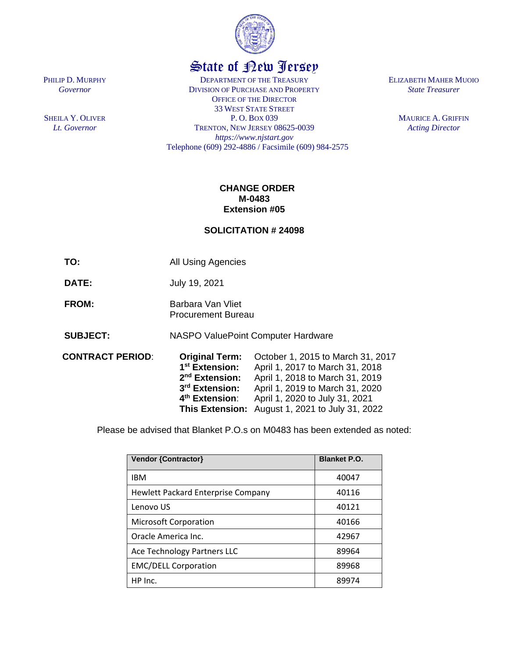

## State of New Jersey

DEPARTMENT OF THE TREASURY DIVISION OF PURCHASE AND PROPERTY OFFICE OF THE DIRECTOR 33 WEST STATE STREET P. O. BOX 039 TRENTON, NEW JERSEY 08625-0039 *https://www.njstart.gov* Telephone (609) 292-4886 / Facsimile (609) 984-2575 ELIZABETH MAHER MUOIO *State Treasurer*

> MAURICE A. GRIFFIN *Acting Director*

## **CHANGE ORDER M-0483 Extension #05**

## **SOLICITATION # 24098**

**TO:** All Using Agencies

**DATE:** July 19, 2021

- **FROM:** Barbara Van Vliet Procurement Bureau
- **SUBJECT:** NASPO ValuePoint Computer Hardware
- **CONTRACT PERIOD**: **Original Term:** October 1, 2015 to March 31, 2017 1<sup>st</sup> Extension: **st Extension:** April 1, 2017 to March 31, 2018 2<sup>nd</sup> Extension: April 1, 2018 to March 31, 2019 3<sup>rd</sup> Extension: **rd Extension:** April 1, 2019 to March 31, 2020 4<sup>th</sup> Extension: **th Extension**: April 1, 2020 to July 31, 2021 **This Extension:** August 1, 2021 to July 31, 2022

Please be advised that Blanket P.O.s on M0483 has been extended as noted:

| <b>Vendor {Contractor}</b>                | <b>Blanket P.O.</b> |
|-------------------------------------------|---------------------|
| <b>IBM</b>                                | 40047               |
| <b>Hewlett Packard Enterprise Company</b> | 40116               |
| Lenovo US                                 | 40121               |
| <b>Microsoft Corporation</b>              | 40166               |
| Oracle America Inc.                       | 42967               |
| Ace Technology Partners LLC               | 89964               |
| <b>EMC/DELL Corporation</b>               | 89968               |
| HP Inc.                                   | 89974               |

PHILIP D. MURPHY *Governor*

SHEILA Y. OLIVER *Lt. Governor*